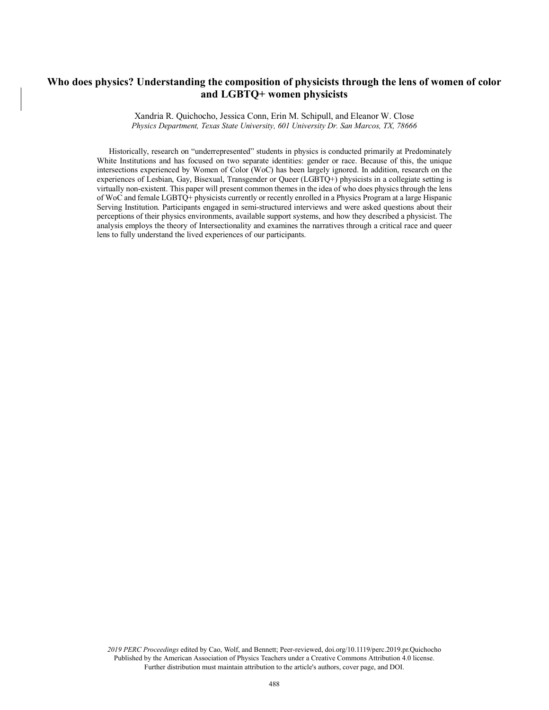# **Who does physics? Understanding the composition of physicists through the lens of women of color and LGBTQ+ women physicists**

Xandria R. Quichocho, Jessica Conn, Erin M. Schipull, and Eleanor W. Close *Physics Department, Texas State University, 601 University Dr. San Marcos, TX, 78666*

Historically, research on "underrepresented" students in physics is conducted primarily at Predominately White Institutions and has focused on two separate identities: gender or race. Because of this, the unique intersections experienced by Women of Color (WoC) has been largely ignored. In addition, research on the experiences of Lesbian, Gay, Bisexual, Transgender or Queer (LGBTQ+) physicists in a collegiate setting is virtually non-existent. This paper will present common themes in the idea of who does physics through the lens of WoC and female LGBTQ+ physicists currently or recently enrolled in a Physics Program at a large Hispanic Serving Institution. Participants engaged in semi-structured interviews and were asked questions about their perceptions of their physics environments, available support systems, and how they described a physicist. The analysis employs the theory of Intersectionality and examines the narratives through a critical race and queer lens to fully understand the lived experiences of our participants.

*2019 PERC Proceedings* edited by Cao, Wolf, and Bennett; Peer-reviewed, doi.org/10.1119/perc.2019.pr.Quichocho Published by the American Association of Physics Teachers under a Creative Commons Attribution 4.0 license. Further distribution must maintain attribution to the article's authors, cover page, and DOI.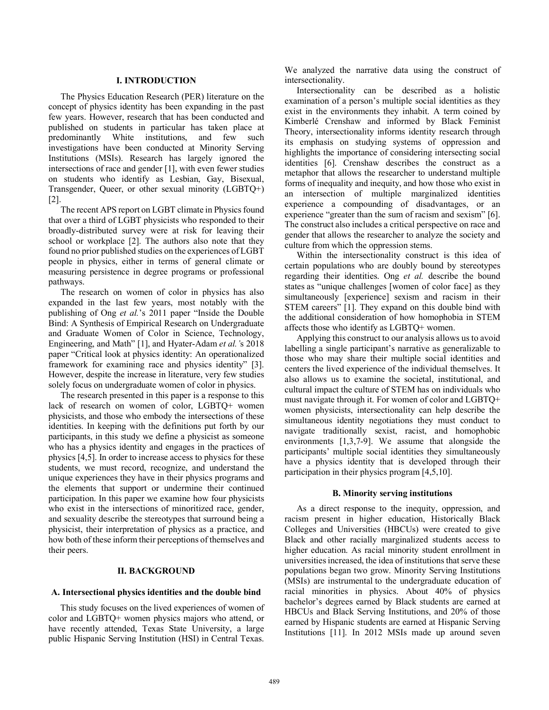#### **I. INTRODUCTION**

The Physics Education Research (PER) literature on the concept of physics identity has been expanding in the past few years. However, research that has been conducted and published on students in particular has taken place at predominantly White institutions, and few such investigations have been conducted at Minority Serving Institutions (MSIs). Research has largely ignored the intersections of race and gender [1], with even fewer studies on students who identify as Lesbian, Gay, Bisexual, Transgender, Queer, or other sexual minority (LGBTQ+) [2].

The recent APS report on LGBT climate in Physics found that over a third of LGBT physicists who responded to their broadly-distributed survey were at risk for leaving their school or workplace [2]. The authors also note that they found no prior published studies on the experiences of LGBT people in physics, either in terms of general climate or measuring persistence in degree programs or professional pathways.

The research on women of color in physics has also expanded in the last few years, most notably with the publishing of Ong *et al.*'s 2011 paper "Inside the Double Bind: A Synthesis of Empirical Research on Undergraduate and Graduate Women of Color in Science, Technology, Engineering, and Math" [1], and Hyater-Adam *et al.'*s 2018 paper "Critical look at physics identity: An operationalized framework for examining race and physics identity" [3]. However, despite the increase in literature, very few studies solely focus on undergraduate women of color in physics.

The research presented in this paper is a response to this lack of research on women of color, LGBTQ+ women physicists, and those who embody the intersections of these identities. In keeping with the definitions put forth by our participants, in this study we define a physicist as someone who has a physics identity and engages in the practices of physics [4,5]. In order to increase access to physics for these students, we must record, recognize, and understand the unique experiences they have in their physics programs and the elements that support or undermine their continued participation. In this paper we examine how four physicists who exist in the intersections of minoritized race, gender, and sexuality describe the stereotypes that surround being a physicist, their interpretation of physics as a practice, and how both of these inform their perceptions of themselves and their peers.

#### **II. BACKGROUND**

## **A. Intersectional physics identities and the double bind**

This study focuses on the lived experiences of women of color and LGBTQ+ women physics majors who attend, or have recently attended, Texas State University, a large public Hispanic Serving Institution (HSI) in Central Texas. We analyzed the narrative data using the construct of intersectionality.

Intersectionality can be described as a holistic examination of a person's multiple social identities as they exist in the environments they inhabit. A term coined by Kimberlé Crenshaw and informed by Black Feminist Theory, intersectionality informs identity research through its emphasis on studying systems of oppression and highlights the importance of considering intersecting social identities [6]. Crenshaw describes the construct as a metaphor that allows the researcher to understand multiple forms of inequality and inequity, and how those who exist in an intersection of multiple marginalized identities experience a compounding of disadvantages, or an experience "greater than the sum of racism and sexism" [6]. The construct also includes a critical perspective on race and gender that allows the researcher to analyze the society and culture from which the oppression stems.

Within the intersectionality construct is this idea of certain populations who are doubly bound by stereotypes regarding their identities. Ong *et al.* describe the bound states as "unique challenges [women of color face] as they simultaneously [experience] sexism and racism in their STEM careers" [1]. They expand on this double bind with the additional consideration of how homophobia in STEM affects those who identify as LGBTQ+ women.

Applying this construct to our analysis allows us to avoid labelling a single participant's narrative as generalizable to those who may share their multiple social identities and centers the lived experience of the individual themselves. It also allows us to examine the societal, institutional, and cultural impact the culture of STEM has on individuals who must navigate through it. For women of color and LGBTQ+ women physicists, intersectionality can help describe the simultaneous identity negotiations they must conduct to navigate traditionally sexist, racist, and homophobic environments [1,3,7-9]. We assume that alongside the participants' multiple social identities they simultaneously have a physics identity that is developed through their participation in their physics program [4,5,10].

#### **B. Minority serving institutions**

As a direct response to the inequity, oppression, and racism present in higher education, Historically Black Colleges and Universities (HBCUs) were created to give Black and other racially marginalized students access to higher education. As racial minority student enrollment in universities increased, the idea of institutions that serve these populations began two grow. Minority Serving Institutions (MSIs) are instrumental to the undergraduate education of racial minorities in physics. About 40% of physics bachelor's degrees earned by Black students are earned at HBCUs and Black Serving Institutions, and 20% of those earned by Hispanic students are earned at Hispanic Serving Institutions [11]. In 2012 MSIs made up around seven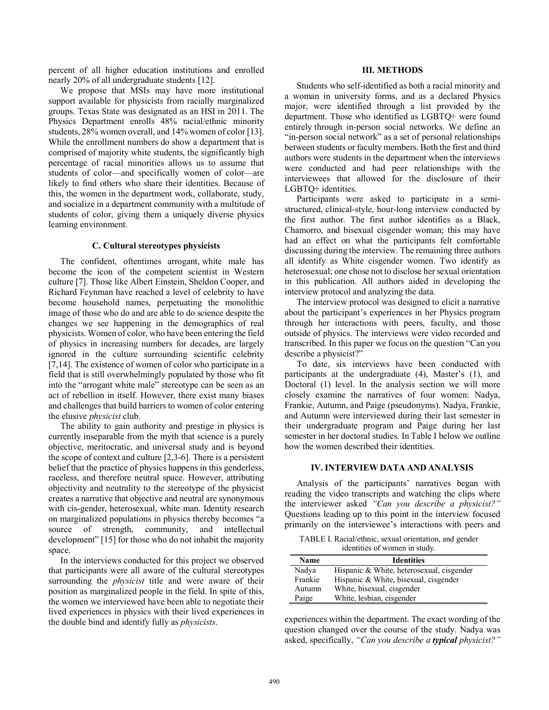percent of all higher education institutions and enrolled nearly 20% of all undergraduate students [12].

We propose that MSIs may have more institutional support available for physicists from racially marginalized groups. Texas State was designated as an HSI in 2011. The Physics Department enrolls 48% racial/ethnic minority students, 28% women overall, and 14% women of color [13]. While the enrollment numbers do show a department that is comprised of majority white students, the significantly high percentage of racial minorities allows us to assume that students of color—and specifically women of color—are likely to find others who share their identities. Because of this, the women in the department work, collaborate, study, and socialize in a department community with a multitude of students of color, giving them a uniquely diverse physics learning environment.

#### **C. Cultural stereotypes physicists**

The confident, oftentimes arrogant, white male has become the icon of the competent scientist in Western culture [7]. Those like Albert Einstein, Sheldon Cooper, and Richard Feynman have reached a level of celebrity to have become household names, perpetuating the monolithic image of those who do and are able to do science despite the changes we see happening in the demographics of real physicists. Women of color, who have been entering the field of physics in increasing numbers for decades, are largely ignored in the culture surrounding scientific celebrity [7,14]. The existence of women of color who participate in a field that is still overwhelmingly populated by those who fit into the "arrogant white male" stereotype can be seen as an act of rebellion in itself. However, there exist many biases and challenges that build barriers to women of color entering the elusive *physicist* club.

The ability to gain authority and prestige in physics is currently inseparable from the myth that science is a purely objective, meritocratic, and universal study and is beyond the scope of context and culture [2,3-6]. There is a persistent belief that the practice of physics happens in this genderless, raceless, and therefore neutral space. However, attributing objectivity and neutrality to the stereotype of the physicist creates a narrative that objective and neutral are synonymous with cis-gender, heterosexual, white man. Identity research on marginalized populations in physics thereby becomes "a source of strength, community, and intellectual development" [15] for those who do not inhabit the majority space.

In the interviews conducted for this project we observed that participants were all aware of the cultural stereotypes surrounding the *physicist* title and were aware of their position as marginalized people in the field. In spite of this, the women we interviewed have been able to negotiate their lived experiences in physics with their lived experiences in the double bind and identify fully as *physicists*.

### **III. METHODS**

Students who self-identified as both a racial minority and a woman in university forms, and as a declared Physics major, were identified through a list provided by the department. Those who identified as LGBTQ+ were found entirely through in-person social networks. We define an "in-person social network" as a set of personal relationships between students or faculty members. Both the first and third authors were students in the department when the interviews were conducted and had peer relationships with the interviewees that allowed for the disclosure of their LGBTQ+ identities.

Participants were asked to participate in a semistructured, clinical-style, hour-long interview conducted by the first author. The first author identifies as a Black, Chamorro, and bisexual cisgender woman; this may have had an effect on what the participants felt comfortable discussing during the interview. The remaining three authors all identify as White cisgender women. Two identify as heterosexual; one chose not to disclose her sexual orientation in this publication. All authors aided in developing the interview protocol and analyzing the data.

The interview protocol was designed to elicit a narrative about the participant's experiences in her Physics program through her interactions with peers, faculty, and those outside of physics. The interviews were video recorded and transcribed. In this paper we focus on the question "Can you describe a physicist?"

To date, six interviews have been conducted with participants at the undergraduate (4), Master's (1), and Doctoral (1) level. In the analysis section we will more closely examine the narratives of four women: Nadya, Frankie, Autumn, and Paige (pseudonyms). Nadya, Frankie, and Autumn were interviewed during their last semester in their undergraduate program and Paige during her last semester in her doctoral studies. In Table I below we outline how the women described their identities.

#### **IV. INTERVIEW DATA AND ANALYSIS**

Analysis of the participants' narratives began with reading the video transcripts and watching the clips where the interviewer asked *"Can you describe a physicist?"* Questions leading up to this point in the interview focused primarily on the interviewee's interactions with peers and

TABLE I. Racial/ethnic, sexual orientation, and gender identities of women in study.

| Name    | <b>Identities</b>                         |
|---------|-------------------------------------------|
| Nadya   | Hispanic & White, heterosexual, cisgender |
| Frankie | Hispanic & White, bisexual, cisgender     |
| Autumn  | White, bisexual, cisgender                |
| Paige   | White, lesbian, cisgender                 |

experiences within the department. The exact wording of the question changed over the course of the study. Nadya was asked, specifically, *"Can you describe a typical physicist?"*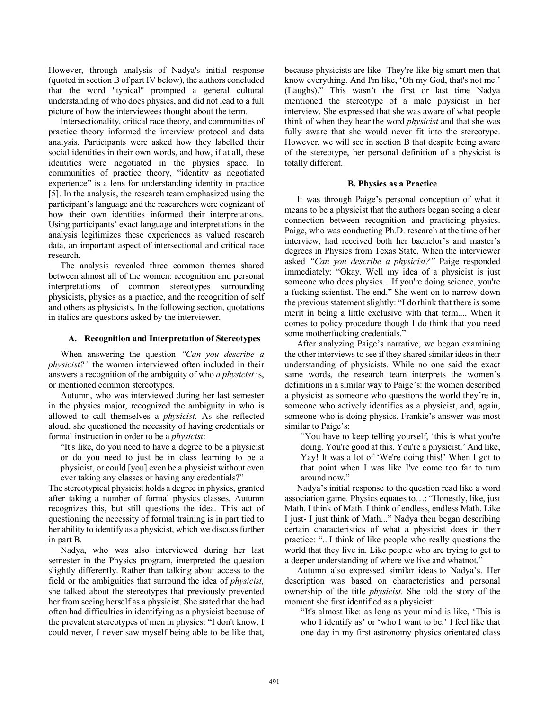However, through analysis of Nadya's initial response (quoted in section B of part IV below), the authors concluded that the word "typical" prompted a general cultural understanding of who does physics, and did not lead to a full picture of how the interviewees thought about the term.

Intersectionality, critical race theory, and communities of practice theory informed the interview protocol and data analysis. Participants were asked how they labelled their social identities in their own words, and how, if at all, these identities were negotiated in the physics space. In communities of practice theory, "identity as negotiated experience" is a lens for understanding identity in practice [5]. In the analysis, the research team emphasized using the participant's language and the researchers were cognizant of how their own identities informed their interpretations. Using participants' exact language and interpretations in the analysis legitimizes these experiences as valued research data, an important aspect of intersectional and critical race research.

The analysis revealed three common themes shared between almost all of the women: recognition and personal interpretations of common stereotypes surrounding physicists, physics as a practice, and the recognition of self and others as physicists. In the following section, quotations in italics are questions asked by the interviewer.

### **A. Recognition and Interpretation of Stereotypes**

When answering the question *"Can you describe a physicist?"* the women interviewed often included in their answers a recognition of the ambiguity of who *a physicist* is, or mentioned common stereotypes.

Autumn, who was interviewed during her last semester in the physics major, recognized the ambiguity in who is allowed to call themselves a *physicist*. As she reflected aloud, she questioned the necessity of having credentials or formal instruction in order to be a *physicist*:

"It's like, do you need to have a degree to be a physicist or do you need to just be in class learning to be a physicist, or could [you] even be a physicist without even ever taking any classes or having any credentials?"

The stereotypical physicist holds a degree in physics, granted after taking a number of formal physics classes. Autumn recognizes this, but still questions the idea. This act of questioning the necessity of formal training is in part tied to her ability to identify as a physicist, which we discuss further in part B.

Nadya, who was also interviewed during her last semester in the Physics program, interpreted the question slightly differently. Rather than talking about access to the field or the ambiguities that surround the idea of *physicist,* she talked about the stereotypes that previously prevented her from seeing herself as a physicist. She stated that she had often had difficulties in identifying as a physicist because of the prevalent stereotypes of men in physics: "I don't know, I could never, I never saw myself being able to be like that,

because physicists are like- They're like big smart men that know everything. And I'm like, 'Oh my God, that's not me.' (Laughs)." This wasn't the first or last time Nadya mentioned the stereotype of a male physicist in her interview. She expressed that she was aware of what people think of when they hear the word *physicist* and that she was fully aware that she would never fit into the stereotype. However, we will see in section B that despite being aware of the stereotype, her personal definition of a physicist is totally different.

#### **B. Physics as a Practice**

It was through Paige's personal conception of what it means to be a physicist that the authors began seeing a clear connection between recognition and practicing physics. Paige, who was conducting Ph.D. research at the time of her interview, had received both her bachelor's and master's degrees in Physics from Texas State. When the interviewer asked *"Can you describe a physicist?"* Paige responded immediately: "Okay. Well my idea of a physicist is just someone who does physics…If you're doing science, you're a fucking scientist. The end." She went on to narrow down the previous statement slightly: "I do think that there is some merit in being a little exclusive with that term.... When it comes to policy procedure though I do think that you need some motherfucking credentials."

After analyzing Paige's narrative, we began examining the other interviews to see if they shared similar ideas in their understanding of physicists. While no one said the exact same words, the research team interprets the women's definitions in a similar way to Paige's: the women described a physicist as someone who questions the world they're in, someone who actively identifies as a physicist, and, again, someone who is doing physics. Frankie's answer was most similar to Paige's:

"You have to keep telling yourself, 'this is what you're doing. You're good at this. You're a physicist.' And like, Yay! It was a lot of 'We're doing this!' When I got to that point when I was like I've come too far to turn around now."

Nadya's initial response to the question read like a word association game. Physics equates to…: "Honestly, like, just Math. I think of Math. I think of endless, endless Math. Like I just- I just think of Math..." Nadya then began describing certain characteristics of what a physicist does in their practice: "...I think of like people who really questions the world that they live in. Like people who are trying to get to a deeper understanding of where we live and whatnot."

Autumn also expressed similar ideas to Nadya's. Her description was based on characteristics and personal ownership of the title *physicist*. She told the story of the moment she first identified as a physicist:

"It's almost like: as long as your mind is like, 'This is who I identify as' or 'who I want to be.' I feel like that one day in my first astronomy physics orientated class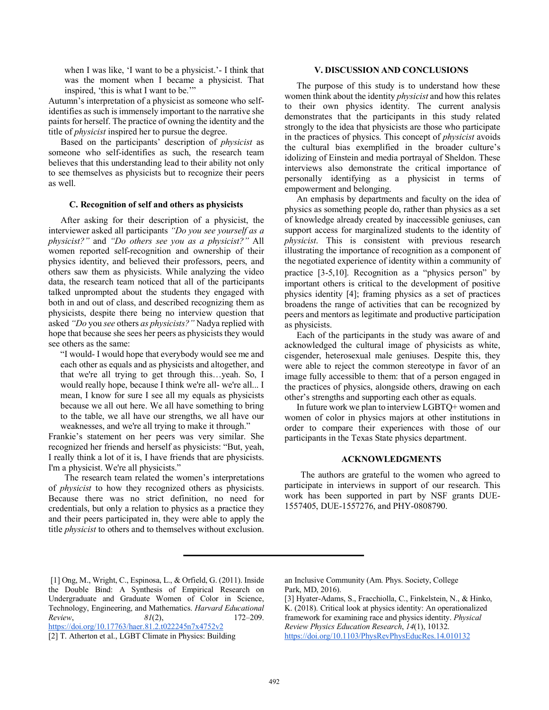when I was like, 'I want to be a physicist.'- I think that was the moment when I became a physicist. That inspired, 'this is what I want to be.'"

Autumn's interpretation of a physicist as someone who selfidentifies as such is immensely important to the narrative she paints for herself. The practice of owning the identity and the title of *physicist* inspired her to pursue the degree.

Based on the participants' description of *physicist* as someone who self-identifies as such, the research team believes that this understanding lead to their ability not only to see themselves as physicists but to recognize their peers as well.

#### **C. Recognition of self and others as physicists**

After asking for their description of a physicist, the interviewer asked all participants *"Do you see yourself as a physicist?"* and *"Do others see you as a physicist?"* All women reported self-recognition and ownership of their physics identity, and believed their professors, peers, and others saw them as physicists. While analyzing the video data, the research team noticed that all of the participants talked unprompted about the students they engaged with both in and out of class, and described recognizing them as physicists, despite there being no interview question that asked *"Do* you *see* others *as physicists?"* Nadya replied with hope that because she sees her peers as physicists they would see others as the same:

"I would- I would hope that everybody would see me and each other as equals and as physicists and altogether, and that we're all trying to get through this…yeah. So, I would really hope, because I think we're all- we're all... I mean, I know for sure I see all my equals as physicists because we all out here. We all have something to bring to the table, we all have our strengths, we all have our weaknesses, and we're all trying to make it through."

Frankie's statement on her peers was very similar. She recognized her friends and herself as physicists: "But, yeah, I really think a lot of it is, I have friends that are physicists. I'm a physicist. We're all physicists."

The research team related the women's interpretations of *physicist* to how they recognized others as physicists. Because there was no strict definition, no need for credentials, but only a relation to physics as a practice they and their peers participated in, they were able to apply the title *physicist* to others and to themselves without exclusion.

### **V. DISCUSSION AND CONCLUSIONS**

The purpose of this study is to understand how these women think about the identity *physicist* and how this relates to their own physics identity. The current analysis demonstrates that the participants in this study related strongly to the idea that physicists are those who participate in the practices of physics. This concept of *physicist* avoids the cultural bias exemplified in the broader culture's idolizing of Einstein and media portrayal of Sheldon. These interviews also demonstrate the critical importance of personally identifying as a physicist in terms of empowerment and belonging.

An emphasis by departments and faculty on the idea of physics as something people do, rather than physics as a set of knowledge already created by inaccessible geniuses, can support access for marginalized students to the identity of *physicist*. This is consistent with previous research illustrating the importance of recognition as a component of the negotiated experience of identity within a community of practice [3-5,10]. Recognition as a "physics person" by important others is critical to the development of positive physics identity [4]; framing physics as a set of practices broadens the range of activities that can be recognized by peers and mentors as legitimate and productive participation as physicists.

Each of the participants in the study was aware of and acknowledged the cultural image of physicists as white, cisgender, heterosexual male geniuses. Despite this, they were able to reject the common stereotype in favor of an image fully accessible to them: that of a person engaged in the practices of physics, alongside others, drawing on each other's strengths and supporting each other as equals.

In future work we plan to interview LGBTQ+ women and women of color in physics majors at other institutions in order to compare their experiences with those of our participants in the Texas State physics department.

#### **ACKNOWLEDGMENTS**

The authors are grateful to the women who agreed to participate in interviews in support of our research. This work has been supported in part by NSF grants DUE-1557405, DUE-1557276, and PHY-0808790.

[2] T. Atherton et al., LGBT Climate in Physics: Building

an Inclusive Community (Am. Phys. Society, College Park, MD, 2016).

<sup>[1]</sup> Ong, M., Wright, C., Espinosa, L., & Orfield, G. (2011). Inside the Double Bind: A Synthesis of Empirical Research on Undergraduate and Graduate Women of Color in Science, Technology, Engineering, and Mathematics. *Harvard Educational Review*, *81*(2), 172–209. https://doi.org/10.17763/haer.81.2.t022245n7x4752v2

<sup>[3]</sup> Hyater-Adams, S., Fracchiolla, C., Finkelstein, N., & Hinko, K. (2018). Critical look at physics identity: An operationalized framework for examining race and physics identity. *Physical Review Physics Education Research*, *14*(1), 10132. https://doi.org/10.1103/PhysRevPhysEducRes.14.010132